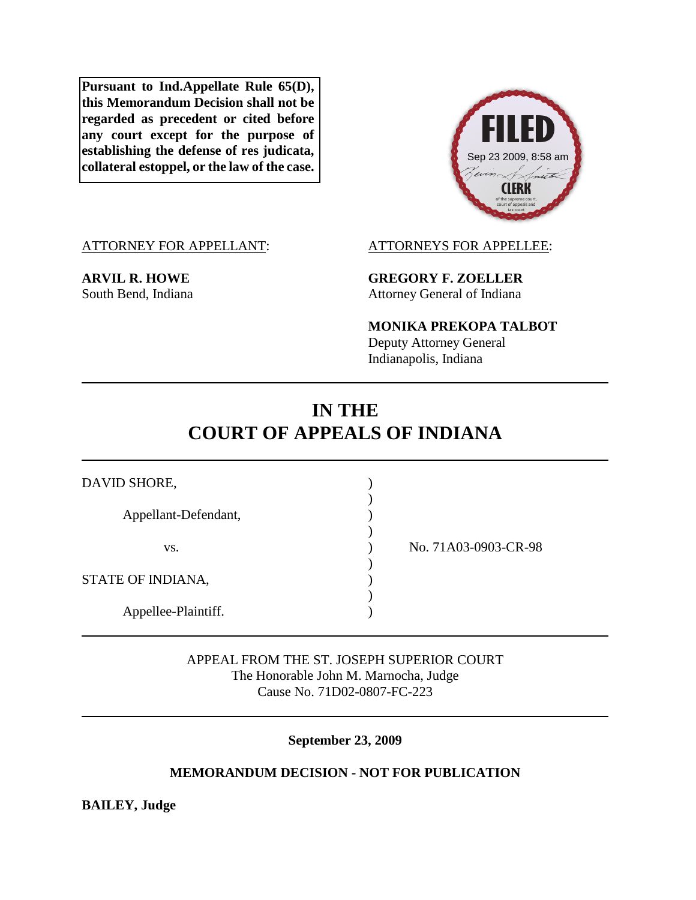**Pursuant to Ind.Appellate Rule 65(D), this Memorandum Decision shall not be regarded as precedent or cited before any court except for the purpose of establishing the defense of res judicata, collateral estoppel, or the law of the case.**



# **IN THE COURT OF APPEALS OF INDIANA**

| <b>MEMORANDUM DECISION - NOT FOR PUBLICATION</b><br><b>BAILEY, Judge</b>                                                                                                                                                                                                        |                                                                                                                   |
|---------------------------------------------------------------------------------------------------------------------------------------------------------------------------------------------------------------------------------------------------------------------------------|-------------------------------------------------------------------------------------------------------------------|
| <b>September 23, 2009</b>                                                                                                                                                                                                                                                       |                                                                                                                   |
|                                                                                                                                                                                                                                                                                 | APPEAL FROM THE ST. JOSEPH SUPERIOR COURT<br>The Honorable John M. Marnocha, Judge<br>Cause No. 71D02-0807-FC-223 |
| Appellee-Plaintiff.                                                                                                                                                                                                                                                             |                                                                                                                   |
| STATE OF INDIANA,                                                                                                                                                                                                                                                               |                                                                                                                   |
| VS.                                                                                                                                                                                                                                                                             | No. 71A03-0903-CR-98                                                                                              |
| Appellant-Defendant,                                                                                                                                                                                                                                                            |                                                                                                                   |
| DAVID SHORE,                                                                                                                                                                                                                                                                    |                                                                                                                   |
|                                                                                                                                                                                                                                                                                 | <b>IN THE</b><br><b>COURT OF APPEALS OF INDIANA</b>                                                               |
|                                                                                                                                                                                                                                                                                 | <b>MONIKA PREKOPA TALBOT</b><br><b>Deputy Attorney General</b><br>Indianapolis, Indiana                           |
| <b>ARVIL R. HOWE</b><br>South Bend, Indiana                                                                                                                                                                                                                                     | <b>GREGORY F. ZOELLER</b><br><b>Attorney General of Indiana</b>                                                   |
| <b>ATTORNEY FOR APPELLANT:</b>                                                                                                                                                                                                                                                  | <b>ATTORNEYS FOR APPELLEE:</b>                                                                                    |
|                                                                                                                                                                                                                                                                                 |                                                                                                                   |
| I disualit to multipolitant Kult $\mathbf{v}(\mathbf{D})$<br>this Memorandum Decision shall not be<br>regarded as precedent or cited before<br>any court except for the purpose of<br>establishing the defense of res judicata,<br>collateral estoppel, or the law of the case. | Sep 23 2009, 8:58 a                                                                                               |

## **September 23, 2009**

## **MEMORANDUM DECISION - NOT FOR PUBLICATION**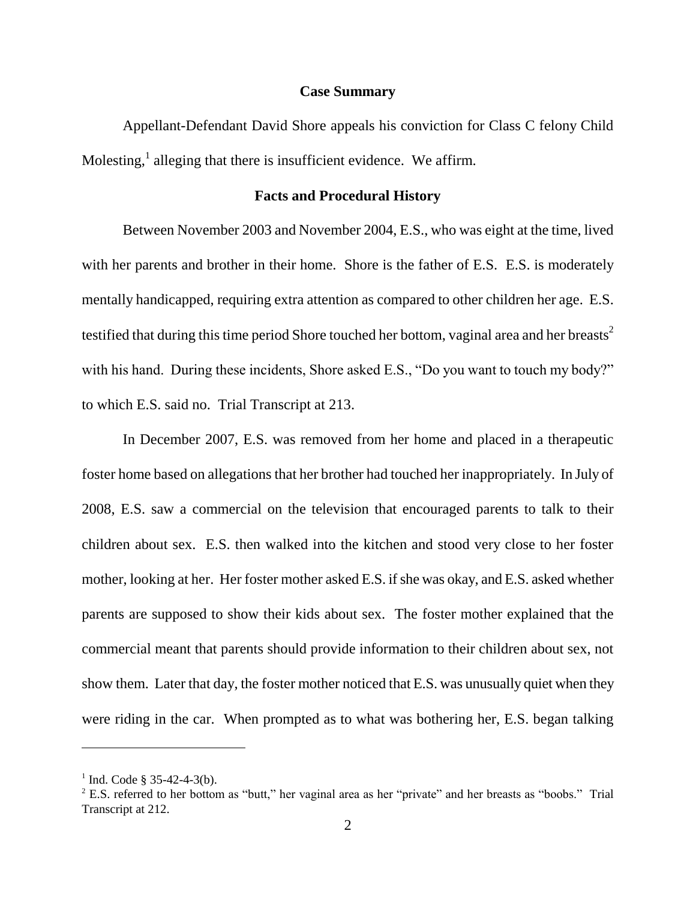#### **Case Summary**

Appellant-Defendant David Shore appeals his conviction for Class C felony Child Molesting,<sup>1</sup> alleging that there is insufficient evidence. We affirm.

### **Facts and Procedural History**

Between November 2003 and November 2004, E.S., who was eight at the time, lived with her parents and brother in their home. Shore is the father of E.S. E.S. is moderately mentally handicapped, requiring extra attention as compared to other children her age. E.S. testified that during this time period Shore touched her bottom, vaginal area and her breasts<sup>2</sup> with his hand. During these incidents, Shore asked E.S., "Do you want to touch my body?" to which E.S. said no. Trial Transcript at 213.

In December 2007, E.S. was removed from her home and placed in a therapeutic foster home based on allegations that her brother had touched her inappropriately. In July of 2008, E.S. saw a commercial on the television that encouraged parents to talk to their children about sex. E.S. then walked into the kitchen and stood very close to her foster mother, looking at her. Her foster mother asked E.S. if she was okay, and E.S. asked whether parents are supposed to show their kids about sex. The foster mother explained that the commercial meant that parents should provide information to their children about sex, not show them. Later that day, the foster mother noticed that E.S. was unusually quiet when they were riding in the car. When prompted as to what was bothering her, E.S. began talking

 $\overline{a}$ 

 $1$  Ind. Code § 35-42-4-3(b).

<sup>&</sup>lt;sup>2</sup> E.S. referred to her bottom as "butt," her vaginal area as her "private" and her breasts as "boobs." Trial Transcript at 212.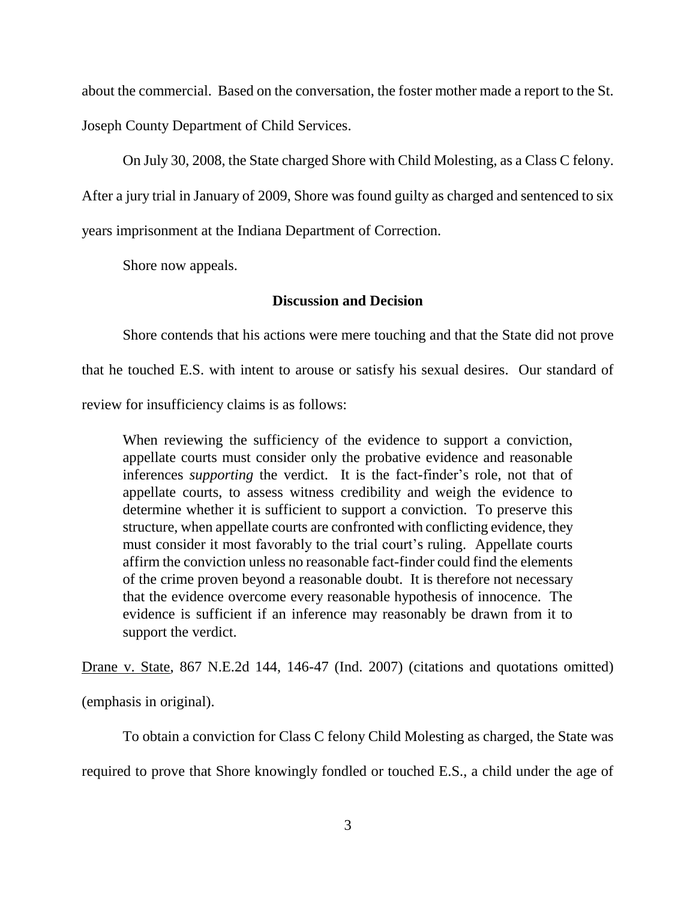about the commercial. Based on the conversation, the foster mother made a report to the St. Joseph County Department of Child Services.

On July 30, 2008, the State charged Shore with Child Molesting, as a Class C felony. After a jury trial in January of 2009, Shore was found guilty as charged and sentenced to six years imprisonment at the Indiana Department of Correction.

Shore now appeals.

## **Discussion and Decision**

Shore contends that his actions were mere touching and that the State did not prove that he touched E.S. with intent to arouse or satisfy his sexual desires. Our standard of review for insufficiency claims is as follows:

When reviewing the sufficiency of the evidence to support a conviction, appellate courts must consider only the probative evidence and reasonable inferences *supporting* the verdict. It is the fact-finder's role, not that of appellate courts, to assess witness credibility and weigh the evidence to determine whether it is sufficient to support a conviction. To preserve this structure, when appellate courts are confronted with conflicting evidence, they must consider it most favorably to the trial court's ruling. Appellate courts affirm the conviction unless no reasonable fact-finder could find the elements of the crime proven beyond a reasonable doubt. It is therefore not necessary that the evidence overcome every reasonable hypothesis of innocence. The evidence is sufficient if an inference may reasonably be drawn from it to support the verdict.

Drane v. State, 867 N.E.2d 144, 146-47 (Ind. 2007) (citations and quotations omitted)

(emphasis in original).

To obtain a conviction for Class C felony Child Molesting as charged, the State was

required to prove that Shore knowingly fondled or touched E.S., a child under the age of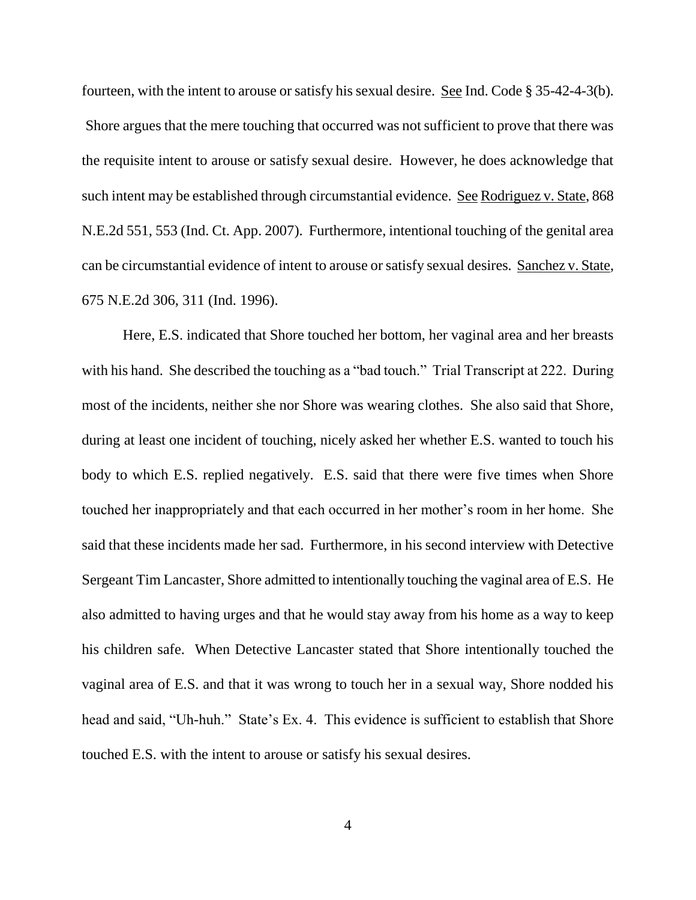fourteen, with the intent to arouse or satisfy his sexual desire. See Ind. Code § 35-42-4-3(b). Shore argues that the mere touching that occurred was not sufficient to prove that there was the requisite intent to arouse or satisfy sexual desire. However, he does acknowledge that such intent may be established through circumstantial evidence. See Rodriguez v. State, 868 N.E.2d 551, 553 (Ind. Ct. App. 2007). Furthermore, intentional touching of the genital area can be circumstantial evidence of intent to arouse or satisfy sexual desires. Sanchez v. State, 675 N.E.2d 306, 311 (Ind. 1996).

Here, E.S. indicated that Shore touched her bottom, her vaginal area and her breasts with his hand. She described the touching as a "bad touch." Trial Transcript at 222. During most of the incidents, neither she nor Shore was wearing clothes. She also said that Shore, during at least one incident of touching, nicely asked her whether E.S. wanted to touch his body to which E.S. replied negatively. E.S. said that there were five times when Shore touched her inappropriately and that each occurred in her mother's room in her home. She said that these incidents made her sad. Furthermore, in his second interview with Detective Sergeant Tim Lancaster, Shore admitted to intentionally touching the vaginal area of E.S. He also admitted to having urges and that he would stay away from his home as a way to keep his children safe. When Detective Lancaster stated that Shore intentionally touched the vaginal area of E.S. and that it was wrong to touch her in a sexual way, Shore nodded his head and said, "Uh-huh." State's Ex. 4. This evidence is sufficient to establish that Shore touched E.S. with the intent to arouse or satisfy his sexual desires.